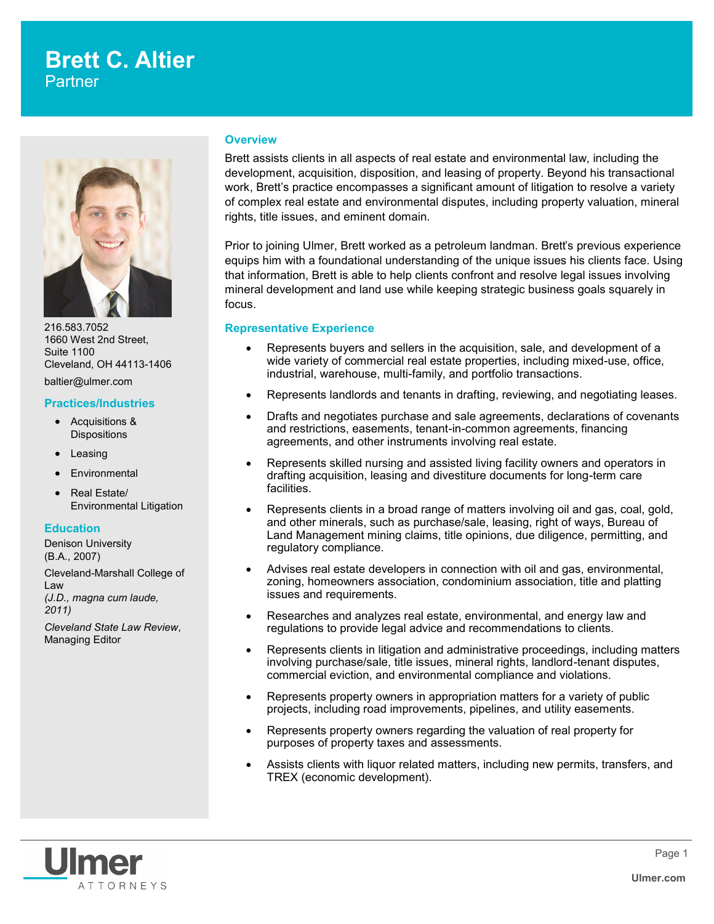# **Brett C. Altier**  Partner



216.583.7052 1660 West 2nd Street, Suite 1100 Cleveland, OH 44113-1406 baltier@ulmer.com

#### **Practices/Industries**

- Acquisitions & **Dispositions**
- Leasing
- **Environmental**
- Real Estate/ Environmental Litigation

## **Education**

Denison University (B.A., 2007)

Cleveland-Marshall College of Law *(J.D., magna cum laude, 2011)* 

*Cleveland State Law Review*, Managing Editor

#### **Overview**

Brett assists clients in all aspects of real estate and environmental law, including the development, acquisition, disposition, and leasing of property. Beyond his transactional work, Brett's practice encompasses a significant amount of litigation to resolve a variety of complex real estate and environmental disputes, including property valuation, mineral rights, title issues, and eminent domain.

Prior to joining Ulmer, Brett worked as a petroleum landman. Brett's previous experience equips him with a foundational understanding of the unique issues his clients face. Using that information, Brett is able to help clients confront and resolve legal issues involving mineral development and land use while keeping strategic business goals squarely in focus.

### **Representative Experience**

- Represents buyers and sellers in the acquisition, sale, and development of a wide variety of commercial real estate properties, including mixed-use, office, industrial, warehouse, multi-family, and portfolio transactions.
- Represents landlords and tenants in drafting, reviewing, and negotiating leases.
- Drafts and negotiates purchase and sale agreements, declarations of covenants and restrictions, easements, tenant-in-common agreements, financing agreements, and other instruments involving real estate.
- Represents skilled nursing and assisted living facility owners and operators in drafting acquisition, leasing and divestiture documents for long-term care facilities.
- Represents clients in a broad range of matters involving oil and gas, coal, gold, and other minerals, such as purchase/sale, leasing, right of ways, Bureau of Land Management mining claims, title opinions, due diligence, permitting, and regulatory compliance.
- Advises real estate developers in connection with oil and gas, environmental, zoning, homeowners association, condominium association, title and platting issues and requirements.
- Researches and analyzes real estate, environmental, and energy law and regulations to provide legal advice and recommendations to clients.
- Represents clients in litigation and administrative proceedings, including matters involving purchase/sale, title issues, mineral rights, landlord-tenant disputes, commercial eviction, and environmental compliance and violations.
- Represents property owners in appropriation matters for a variety of public projects, including road improvements, pipelines, and utility easements.
- Represents property owners regarding the valuation of real property for purposes of property taxes and assessments.
- Assists clients with liquor related matters, including new permits, transfers, and TREX (economic development).